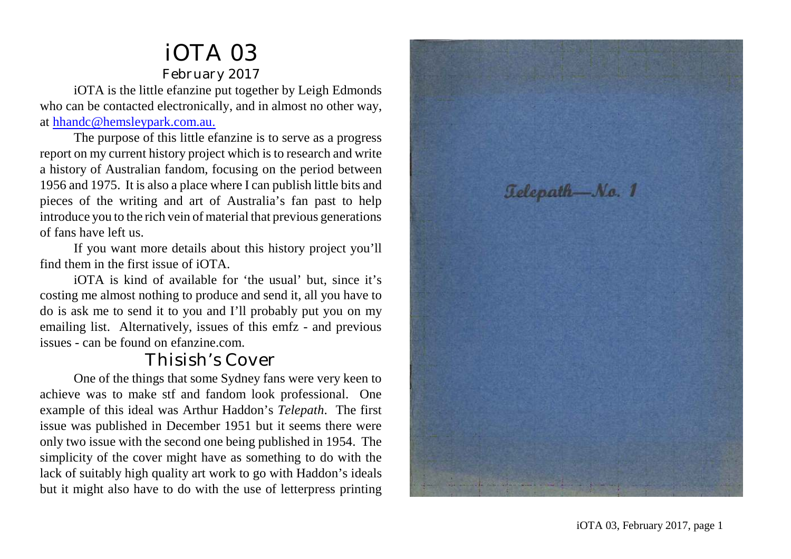# iOTA 03 February 2017

iOTA is the little efanzine put together by Leigh Edmonds who can be contacted electronically, and in almost no other way, at [hhandc@hemsleypark.com.au.](mailto:hhandc@hemsleypark.com.au.)

The purpose of this little efanzine is to serve as a progress report on my current history project which is to research and write a history of Australian fandom, focusing on the period between 1956 and 1975. It is also a place where I can publish little bits and pieces of the writing and art of Australia's fan past to help introduce you to the rich vein of material that previous generations of fans have left us.

If you want more details about this history project you'll find them in the first issue of iOTA.

iOTA is kind of available for 'the usual' but, since it's costing me almost nothing to produce and send it, all you have to do is ask me to send it to you and I'll probably put you on my emailing list. Alternatively, issues of this emfz - and previous issues - can be found on efanzine.com.

## Thisish's Cover

One of the things that some Sydney fans were very keen to achieve was to make stf and fandom look professional. One example of this ideal was Arthur Haddon's *Telepath*. The first issue was published in December 1951 but it seems there were only two issue with the second one being published in 1954. The simplicity of the cover might have as something to do with the lack of suitably high quality art work to go with Haddon's ideals but it might also have to do with the use of letterpress printing

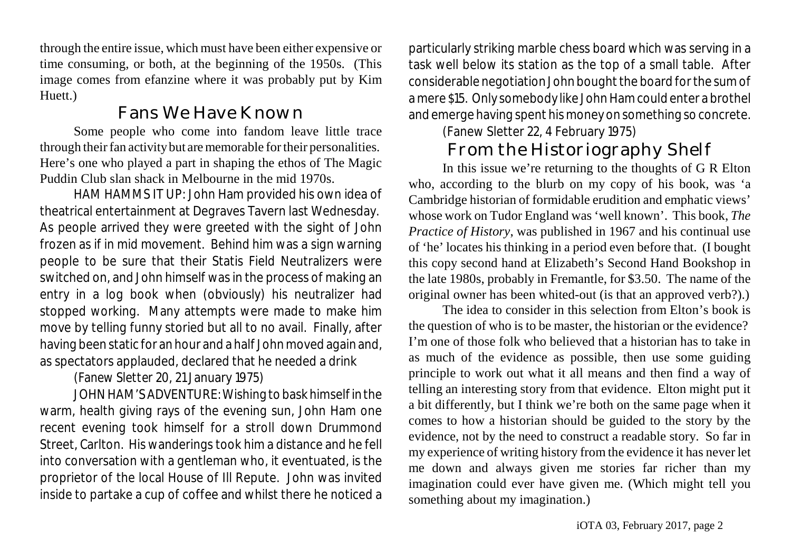through the entire issue, which must have been either expensive or time consuming, or both, at the beginning of the 1950s. (This image comes from efanzine where it was probably put by Kim Huett.)

### Fans We Have Known

Some people who come into fandom leave little trace through their fan activity but are memorable for their personalities. Here's one who played a part in shaping the ethos of The Magic Puddin Club slan shack in Melbourne in the mid 1970s.

HAM HAMMS IT UP: John Ham provided his own idea of theatrical entertainment at Degraves Tavern last Wednesday. As people arrived they were greeted with the sight of John frozen as if in mid movement. Behind him was a sign warning people to be sure that their Statis Field Neutralizers were switched on, and John himself was in the process of making an entry in a log book when (obviously) his neutralizer had stopped working. Many attempts were made to make him move by telling funny storied but all to no avail. Finally, after having been static for an hour and a half John moved again and, as spectators applauded, declared that he needed a drink

(*Fanew Sletter* 20, 21 January 1975)

JOHN HAM'S ADVENTURE: Wishing to bask himself in the warm, health giving rays of the evening sun, John Ham one recent evening took himself for a stroll down Drummond Street, Carlton. His wanderings took him a distance and he fell into conversation with a gentleman who, it eventuated, is the proprietor of the local House of Ill Repute. John was invited inside to partake a cup of coffee and whilst there he noticed a

particularly striking marble chess board which was serving in a task well below its station as the top of a small table. After considerable negotiationJohn bought the board for the sum of a mere \$15. Only somebody like John Ham could enter a brothel and emerge having spent his money on something so concrete.

#### (Fanew Sletter 22, 4 February 1975)

# From the Historiography Shelf

In this issue we're returning to the thoughts of G R Elton who, according to the blurb on my copy of his book, was 'a Cambridge historian of formidable erudition and emphatic views' whose work on Tudor England was 'well known'. This book, *The Practice of History*, was published in 1967 and his continual use of 'he' locates his thinking in a period even before that. (I bought this copy second hand at Elizabeth's Second Hand Bookshop in the late 1980s, probably in Fremantle, for \$3.50. The name of the original owner has been whited-out (is that an approved verb?).)

The idea to consider in this selection from Elton's book is the question of who is to be master, the historian or the evidence? I'm one of those folk who believed that a historian has to take in as much of the evidence as possible, then use some guiding principle to work out what it all means and then find a way of telling an interesting story from that evidence. Elton might put it a bit differently, but I think we're both on the same page when it comes to how a historian should be guided to the story by the evidence, not by the need to construct a readable story. So far in my experience of writing history from the evidence it has never let me down and always given me stories far richer than my imagination could ever have given me. (Which might tell you something about my imagination.)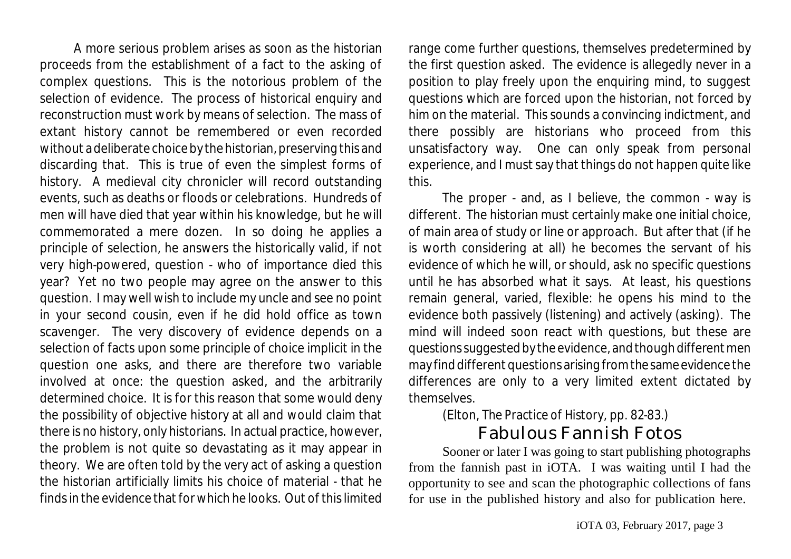A more serious problem arises as soon as the historian proceeds from the establishment of a fact to the asking of complex questions. This is the notorious problem of the selection of evidence. The process of historical enquiry and reconstruction must work by means of selection. The mass of extant history cannot be remembered or even recorded without a deliberate choice by the historian, preserving this and discarding that. This is true of even the simplest forms of history. A medieval city chronicler will record outstanding events, such as deaths or floods or celebrations. Hundreds of men will have died that year within his knowledge, but he will commemorated a mere dozen. In so doing he applies a principle of selection, he answers the historically valid, if not very high-powered, question - who of importance died this year? Yet no two people may agree on the answer to this question. I may well wish to include my uncle and see no point in your second cousin, even if he did hold office as town scavenger. The very discovery of evidence depends on a selection of facts upon some principle of choice implicit in the question one asks, and there are therefore two variable involved at once: the question asked, and the arbitrarily determined choice. It is for this reason that some would deny the possibility of objective history at all and would claim that there is no history, only historians. In actual practice, however, the problem is not quite so devastating as it may appear in theory. We are often told by the very act of asking a question the historian artificially limits his choice of material - that he finds in the evidence that for which he looks. Out of this limited

range come further questions, themselves predetermined by the first question asked. The evidence is allegedly never in a position to play freely upon the enquiring mind, to suggest questions which are forced upon the historian, not forced by him on the material. This sounds a convincing indictment, and there possibly are historians who proceed from this unsatisfactory way. One can only speak from personal experience, and I must say that things do not happen quite like this.

The proper - and, as I believe, the common - way is different. The historian must certainly make one initial choice, of main area of study or line or approach. But after that (if he is worth considering at all) he becomes the servant of his evidence of which he will, or should, ask no specific questions until he has absorbed what it says. At least, his questions remain general, varied, flexible: he opens his mind to the evidence both passively (listening) and actively (asking). The mind will indeed soon react with questions, but these are questions suggestedby the evidence, and though different men may find different questions arising from the same evidence the differences are only to a very limited extent dictated by themselves.

#### (Elton, *The Practice of History*, pp. 82-83.)

# Fabulous Fannish Fotos

Sooner or later I was going to start publishing photographs from the fannish past in iOTA. I was waiting until I had the opportunity to see and scan the photographic collections of fans for use in the published history and also for publication here.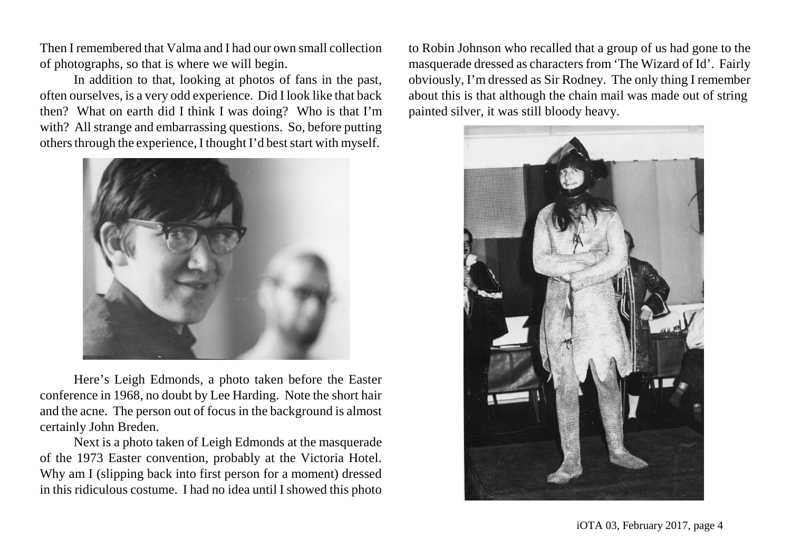Then I remembered that Valma and I had our own small collection of photographs, so that is where we will begin.

In addition to that, looking at photos of fans in the past, often ourselves, is a very odd experience. Did I look like that back then? What on earth did I think I was doing? Who is that I'm with? All strange and embarrassing questions. So, before putting others through the experience, I thought I'd best start with myself.



Here's Leigh Edmonds, a photo taken before the Easter conference in 1968, no doubt by Lee Harding. Note the short hair and the acne. The person out of focus in the background is almost certainly John Breden.

Next is a photo taken of Leigh Edmonds at the masquerade of the 1973 Easter convention, probably at the Victoria Hotel. Why am I (slipping back into first person for a moment) dressed in this ridiculous costume. I had no idea until I showed this photo

to Robin Johnson who recalled that a group of us had gone to the masquerade dressed as characters from 'The Wizard of Id'. Fairly obviously, I'm dressed as Sir Rodney. The only thing I remember about this is that although the chain mail was made out of string painted silver, it was still bloody heavy.

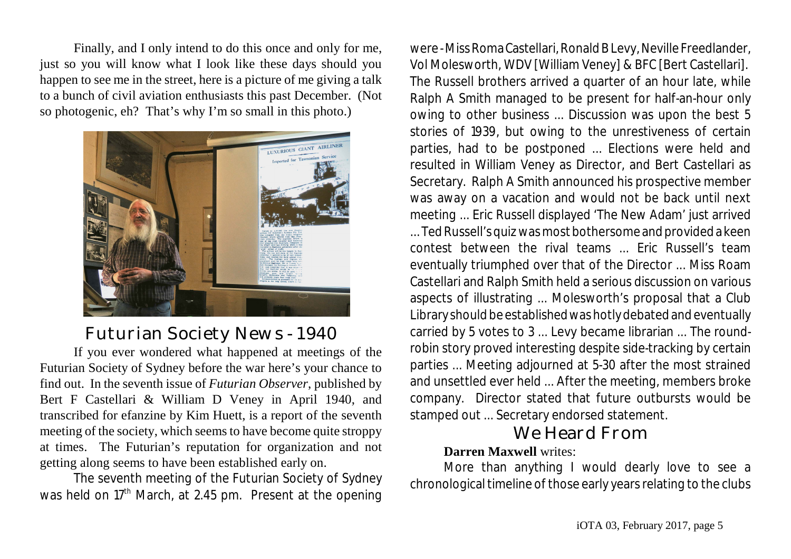Finally, and I only intend to do this once and only for me, just so you will know what I look like these days should you happen to see me in the street, here is a picture of me giving a talk to a bunch of civil aviation enthusiasts this past December. (Not so photogenic, eh? That's why I'm so small in this photo.)



## Futurian Society News - 1940

If you ever wondered what happened at meetings of the Futurian Society of Sydney before the war here's your chance to find out. In the seventh issue of *Futurian Observer*, published by Bert F Castellari & William D Veney in April 1940, and transcribed for efanzine by Kim Huett, is a report of the seventh meeting of the society, which seems to have become quite stroppy at times. The Futurian's reputation for organization and not getting along seems to have been established early on.

The seventh meeting of the Futurian Society of Sydney was held on  $17<sup>th</sup>$  March, at 2.45 pm. Present at the opening were - Miss Roma Castellari, Ronald B Levy, Neville Freedlander, Vol Molesworth, WDV [William Veney] & BFC [Bert Castellari]. The Russell brothers arrived a quarter of an hour late, while Ralph A Smith managed to be present for half-an-hour only owing to other business ... Discussion was upon the best 5 stories of 1939, but owing to the unrestiveness of certain parties, had to be postponed ... Elections were held and resulted in William Veney as Director, and Bert Castellari as Secretary. Ralph A Smith announced his prospective member was away on a vacation and would not be back until next meeting ... Eric Russell displayed 'The New Adam' just arrived ... Ted Russell's quiz was most bothersome and provided a keen

contest between the rival teams ... Eric Russell's team eventually triumphed over that of the Director ... Miss Roam Castellari and Ralph Smith held a serious discussion on various aspects of illustrating ... Molesworth's proposal that a Club Library should be establishedwas hotly debated and eventually carried by 5 votes to 3 ... Levy became librarian ... The roundrobin story proved interesting despite side-tracking by certain parties ... Meeting adjourned at 5-30 after the most strained and unsettled ever held ... After the meeting, members broke company. Director stated that future outbursts would be stamped out ... Secretary endorsed statement.

# We Heard From

#### **Darren Maxwell writes:**

More than anything I would dearly love to see a chronological timeline of those early years relating to the clubs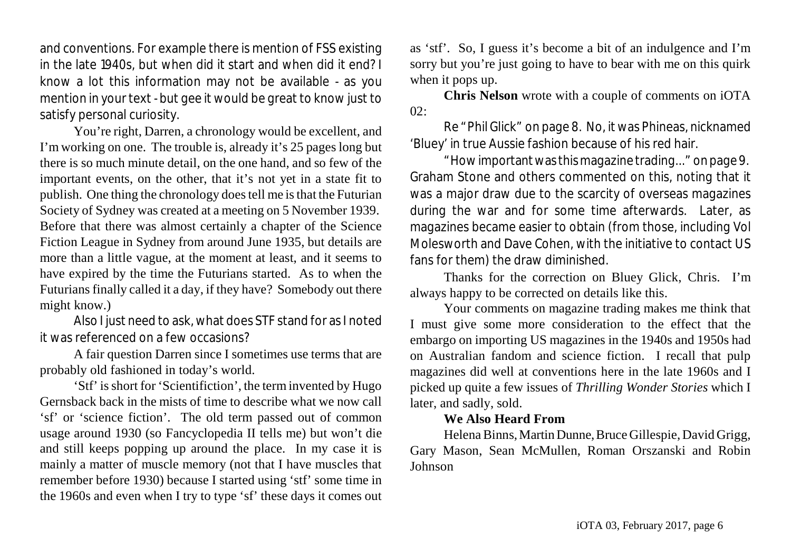and conventions. For example there is mention of FSS existing in the late 1940s, but when did it start and when did it end? I know a lot this information may not be available - as you mention in your text - but gee it would be great to know just to satisfy personal curiosity.

You're right, Darren, a chronology would be excellent, and I'm working on one. The trouble is, already it's 25 pages long but there is so much minute detail, on the one hand, and so few of the important events, on the other, that it's not yet in a state fit to publish. One thing the chronology does tell me is that the Futurian Society of Sydney was created at a meeting on 5 November 1939. Before that there was almost certainly a chapter of the Science Fiction League in Sydney from around June 1935, but details are more than a little vague, at the moment at least, and it seems to have expired by the time the Futurians started. As to when the Futurians finally called it a day, if they have? Somebody out there might know.)

Also I just need to ask, what does STF stand for as I noted it was referenced on a few occasions?

A fair question Darren since I sometimes use terms that are probably old fashioned in today's world.

'Stf' isshort for 'Scientifiction', the term invented by Hugo Gernsback back in the mists of time to describe what we now call 'sf' or 'science fiction'. The old term passed out of common usage around 1930 (so Fancyclopedia II tells me) but won't die and still keeps popping up around the place. In my case it is mainly a matter of muscle memory (not that I have muscles that remember before 1930) because I started using 'stf' some time in the 1960s and even when I try to type 'sf' these days it comes out as 'stf'. So, I guess it's become a bit of an indulgence and I'm sorry but you're just going to have to bear with me on this quirk when it pops up.

**Chris Nelson** wrote with a couple of comments on iOTA  $02:$ 

Re "Phil Glick" on page 8. No, it was Phineas, nicknamed 'Bluey' in true Aussie fashion because of his red hair.

"Howimportant was this magazine trading..." on page 9. Graham Stone and others commented on this, noting that it was a major draw due to the scarcity of overseas magazines during the war and for some time afterwards. Later, as magazines became easier to obtain (from those, including Vol Molesworth and Dave Cohen, with the initiative to contact US fans for them) the draw diminished.

Thanks for the correction on Bluey Glick, Chris. I'm always happy to be corrected on details like this.

Your comments on magazine trading makes me think that I must give some more consideration to the effect that the embargo on importing US magazines in the 1940s and 1950s had on Australian fandom and science fiction. I recall that pulp magazines did well at conventions here in the late 1960s and I picked up quite a few issues of *Thrilling Wonder Stories* which I later, and sadly, sold.

#### **We Also Heard From**

Helena Binns, Martin Dunne, Bruce Gillespie, David Grigg, Gary Mason, Sean McMullen, Roman Orszanski and Robin Johnson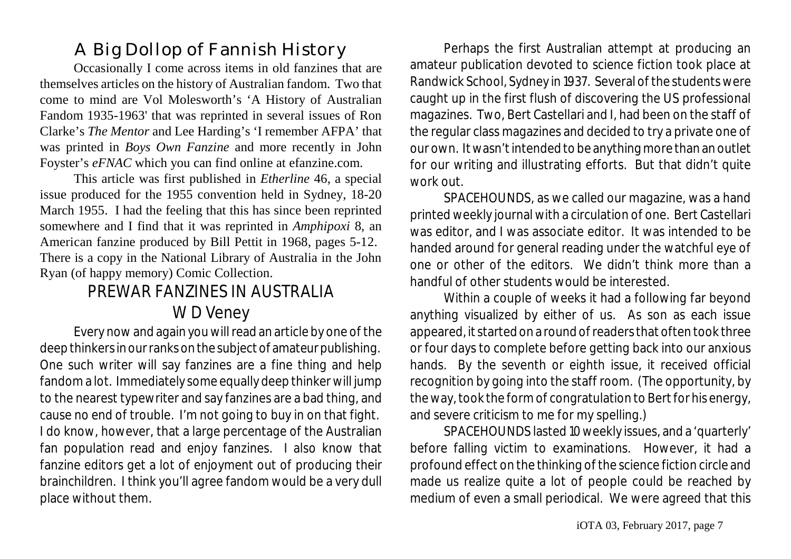# A Big Dollop of Fannish History

Occasionally I come across items in old fanzines that are themselves articles on the history of Australian fandom. Two that come to mind are Vol Molesworth's 'A History of Australian Fandom 1935-1963' that was reprinted in several issues of Ron Clarke's *The Mentor* and Lee Harding's 'I remember AFPA' that was printed in *Boys Own Fanzine* and more recently in John Foyster's *eFNAC* which you can find online at efanzine.com.

This article was first published in *Etherline* 46, a special issue produced for the 1955 convention held in Sydney, 18-20 March 1955. I had the feeling that this has since been reprinted somewhere and I find that it was reprinted in *Amphipoxi* 8, an American fanzine produced by Bill Pettit in 1968, pages 5-12. There is a copy in the National Library of Australia in the John Ryan (of happy memory) Comic Collection.

## PREWAR FANZINES IN AUSTRALIA

## W D Veney

Every now and again you willread an article by one of the deep thinkers in our ranks on the subject of amateur publishing. One such writer will say fanzines are a fine thing and help fandom a lot. Immediately some equally deep thinker will jump to the nearest typewriter and say fanzines are a bad thing, and cause no end of trouble. I'm not going to buy in on that fight. I do know, however, that a large percentage of the Australian fan population read and enjoy fanzines. I also know that fanzine editors get a lot of enjoyment out of producing their brainchildren. I think you'll agree fandom would be a very dull place without them.

Perhaps the first Australian attempt at producing an amateur publication devoted to science fiction took place at Randwick School, Sydney in 1937. Several of the students were caught up in the first flush of discovering the US professional magazines. Two, Bert Castellari and I, had been on the staff of the regular class magazines and decided to try a private one of our own. It wasn't intended to be anything more than an outlet for our writing and illustrating efforts. But that didn't quite work out.

SPACEHOUNDS, as we called our magazine, was a hand printed weekly journal with a circulation of one. Bert Castellari was editor, and I was associate editor. It was intended to be handed around for general reading under the watchful eye of one or other of the editors. We didn't think more than a handful of other students would be interested.

Within a couple of weeks it had a following far beyond anything visualized by either of us. As son as each issue appeared, it started on a round of readers that often took three or four days to complete before getting back into our anxious hands. By the seventh or eighth issue, it received official recognition by going into the staff room. (The opportunity, by the way, took the form of congratulation to Bert for his energy, and severe criticism to me for my spelling.)

SPACEHOUNDS lasted 10 weekly issues, and a 'quarterly' before falling victim to examinations. However, it had a profound effect on the thinking of the science fiction circle and made us realize quite a lot of people could be reached by medium of even a small periodical. We were agreed that this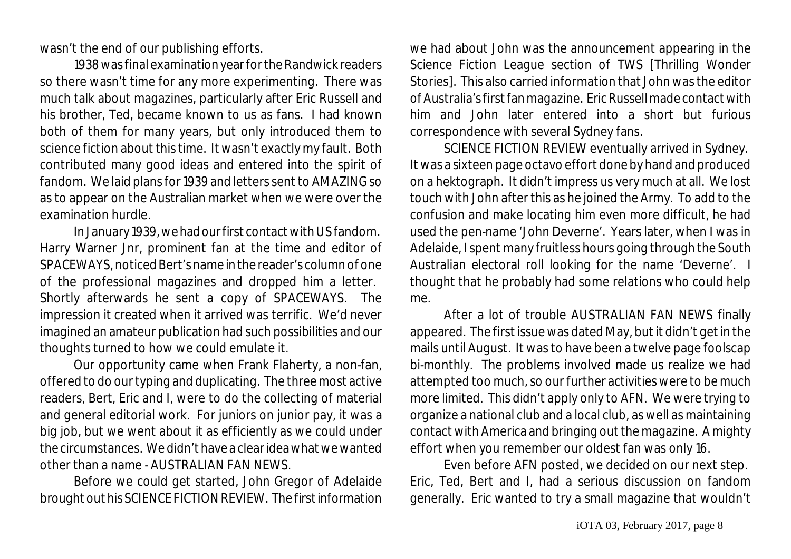wasn't the end of our publishing efforts.

1938 was final examination year for the Randwick readers so there wasn't time for any more experimenting. There was much talk about magazines, particularly after Eric Russell and his brother, Ted, became known to us as fans. I had known both of them for many years, but only introduced them to science fiction about this time. It wasn't exactly my fault. Both contributed many good ideas and entered into the spirit of fandom. We laid plans for 1939 and letters sent to AMAZING so as to appear on the Australian market when we were over the examination hurdle.

In January 1939, we had our first contact with US fandom. Harry Warner Jnr, prominent fan at the time and editor of SPACEWAYS, noticed Bert's name in the reader's column of one of the professional magazines and dropped him a letter. Shortly afterwards he sent a copy of SPACEWAYS. The impression it created when it arrived was terrific. We'd never imagined an amateur publication had such possibilities and our thoughts turned to how we could emulate it.

Our opportunity came when Frank Flaherty, a non-fan, offered to do our typing and duplicating. The three most active readers, Bert, Eric and I, were to do the collecting of material and general editorial work. For juniors on junior pay, it was a big job, but we went about it as efficiently as we could under the circumstances. We didn't have a clear idea what wewanted other than a name - AUSTRALIAN FAN NEWS.

Before we could get started, John Gregor of Adelaide brought out his SCIENCE FICTIONREVIEW. The firstinformation

we had about John was the announcement appearing in the Science Fiction League section of TWS [Thrilling Wonder Stories]. This also carried information that John was the editor of Australia's first fan magazine. Eric Russell made contact with him and John later entered into a short but furious correspondence with several Sydney fans.

SCIENCE FICTION REVIEW eventually arrived in Sydney. It was a sixteen page octavo effort done by hand and produced on a hektograph. It didn't impress us very much at all. We lost touch with John after this as he joined the Army. To add to the confusion and make locating him even more difficult, he had used the pen-name 'John Deverne'. Years later, when I was in Adelaide, I spent many fruitless hours going through the South Australian electoral roll looking for the name 'Deverne'. I thought that he probably had some relations who could help me.

After a lot of trouble AUSTRALIAN FAN NEWS finally appeared. The first issue was dated May, but it didn't get in the mails until August. It was to have been a twelve page foolscap bi-monthly. The problems involved made us realize we had attempted too much, so our further activities were to be much more limited. This didn't apply only to AFN. We were trying to organize a national club and a local club, as well as maintaining contact with America and bringing out the magazine. A mighty effort when you remember our oldest fan was only 16.

Even before AFN posted, we decided on our next step. Eric, Ted, Bert and I, had a serious discussion on fandom generally. Eric wanted to try a small magazine that wouldn't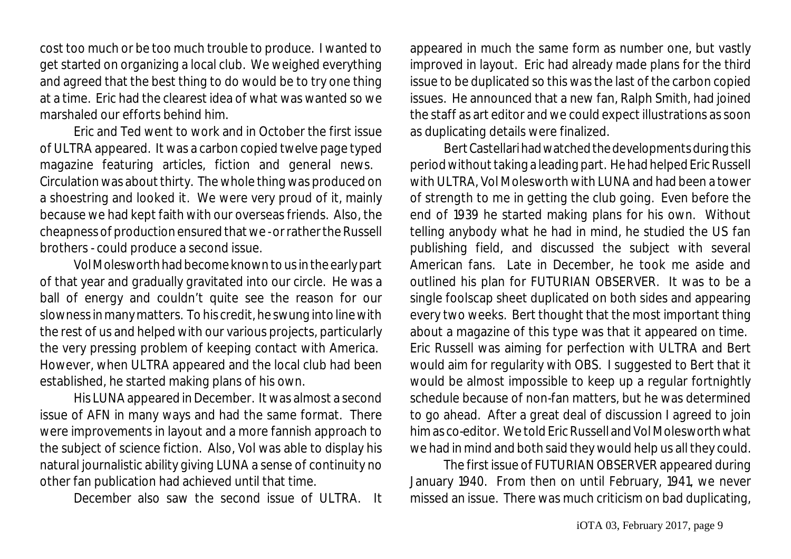cost too much or be too much trouble to produce. I wanted to get started on organizing a local club. We weighed everything and agreed that the best thing to do would be to try one thing at a time. Eric had the clearest idea of what was wanted so we marshaled our efforts behind him.

Eric and Ted went to work and in October the first issue of ULTRA appeared. It was a carbon copied twelve page typed magazine featuring articles, fiction and general news. Circulation was about thirty. The whole thing was produced on a shoestring and looked it. We were very proud of it, mainly because we had kept faith with our overseas friends. Also, the cheapness of production ensured that we - or rather the Russell brothers - could produce a second issue.

Vol Molesworth had become known to us in the early part of that year and gradually gravitated into our circle. He was a ball of energy and couldn't quite see the reason for our slowness in many matters. To his credit, he swung into line with the rest of us and helped with our various projects, particularly the very pressing problem of keeping contact with America. However, when ULTRA appeared and the local club had been established, he started making plans of his own.

His LUNA appeared in December. It was almost a second issue of AFN in many ways and had the same format. There were improvements in layout and a more fannish approach to the subject of science fiction. Also, Vol was able to display his natural journalistic ability giving LUNA a sense of continuity no other fan publication had achieved until that time.

December also saw the second issue of ULTRA. It

appeared in much the same form as number one, but vastly improved in layout. Eric had already made plans for the third issue to be duplicated so this was the last of the carbon copied issues. He announced that a new fan, Ralph Smith, had joined the staff as art editor and we could expect illustrations as soon as duplicating details were finalized.

Bert Castellarihadwatchedthe developments during this period without taking a leading part. He had helped Eric Russell with ULTRA, Vol Molesworth with LUNA and had been a tower of strength to me in getting the club going. Even before the end of 1939 he started making plans for his own. Without telling anybody what he had in mind, he studied the US fan publishing field, and discussed the subject with several American fans. Late in December, he took me aside and outlined his plan for FUTURIAN OBSERVER. It was to be a single foolscap sheet duplicated on both sides and appearing every two weeks. Bert thought that the most important thing about a magazine of this type was that it appeared on time. Eric Russell was aiming for perfection with ULTRA and Bert would aim for regularity with OBS. I suggested to Bert that it would be almost impossible to keep up a regular fortnightly schedule because of non-fan matters, but he was determined to go ahead. After a great deal of discussion I agreed to join him as co-editor. We told Eric Russell and Vol Molesworth what we had in mind and both said they would help us all they could.

The first issue of FUTURIAN OBSERVER appeared during January 1940. From then on until February, 1941, we never missed an issue. There was much criticism on bad duplicating,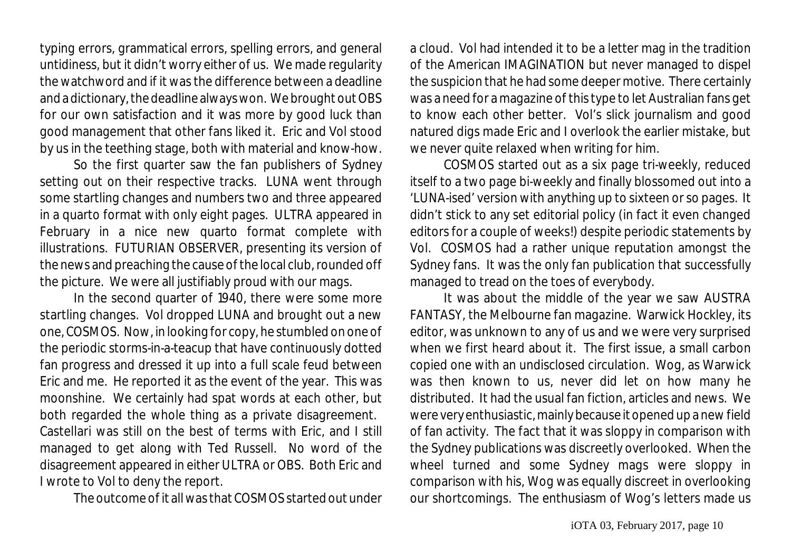typing errors, grammatical errors, spelling errors, and general untidiness, but it didn't worry either of us. We made regularity the watchword and if it was the difference between a deadline and a dictionary, the deadline always won. Webrought out OBS for our own satisfaction and it was more by good luck than good management that other fans liked it. Eric and Vol stood by us in the teething stage, both with material and know-how.

So the first quarter saw the fan publishers of Sydney setting out on their respective tracks. LUNA went through some startling changes and numbers two and three appeared in a quarto format with only eight pages. ULTRA appeared in February in a nice new quarto format complete with illustrations. FUTURIAN OBSERVER, presenting its version of the news and preaching the cause of the local club, rounded off the picture. We were all justifiably proud with our mags.

In the second quarter of 1940, there were some more startling changes. Vol dropped LUNA and brought out a new one, COSMOS. Now, in looking for copy, he stumbled on one of the periodic storms-in-a-teacup that have continuously dotted fan progress and dressed it up into a full scale feud between Eric and me. He reported it as the event of the year. This was moonshine. We certainly had spat words at each other, but both regarded the whole thing as a private disagreement. Castellari was still on the best of terms with Eric, and I still managed to get along with Ted Russell. No word of the disagreement appeared in either ULTRA or OBS. Both Eric and I wrote to Vol to deny the report.

The outcome of it all was that COSMOS started out under

a cloud. Vol had intended it to be a letter mag in the tradition of the American IMAGINATION but never managed to dispel the suspicion that he had some deeper motive. There certainly was a need for a magazine of this type to let Australian fans get to know each other better. Vol's slick journalism and good natured digs made Eric and I overlook the earlier mistake, but we never quite relaxed when writing for him.

COSMOS started out as a six page tri-weekly, reduced itself to a two page bi-weekly and finally blossomed out into a 'LUNA-ised' version with anything up to sixteen or so pages. It didn't stick to any set editorial policy (in fact it even changed editors for a couple of weeks!) despite periodic statements by Vol. COSMOS had a rather unique reputation amongst the Sydney fans. It was the only fan publication that successfully managed to tread on the toes of everybody.

It was about the middle of the year we saw AUSTRA FANTASY, the Melbourne fan magazine. Warwick Hockley, its editor, was unknown to any of us and we were very surprised when we first heard about it. The first issue, a small carbon copied one with an undisclosed circulation. Wog, as Warwick was then known to us, never did let on how many he distributed. It had the usual fan fiction, articles and news. We were very enthusiastic, mainly because it opened up a newfield of fan activity. The fact that it was sloppy in comparison with the Sydney publications was discreetly overlooked. When the wheel turned and some Sydney mags were sloppy in comparison with his, Wog was equally discreet in overlooking our shortcomings. The enthusiasm of Wog's letters made us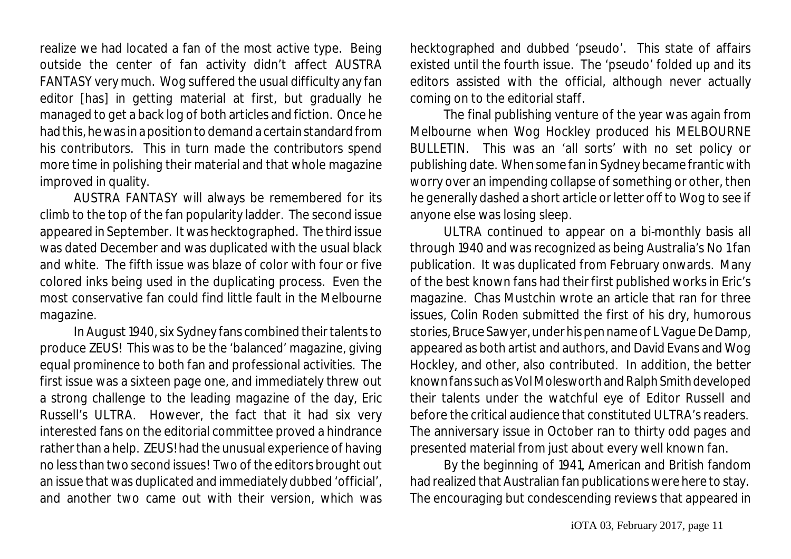realize we had located a fan of the most active type. Being outside the center of fan activity didn't affect AUSTRA FANTASY very much. Wog suffered the usual difficulty any fan editor [has] in getting material at first, but gradually he managed to get a back log of both articles and fiction. Once he had this, he was in a position to demand a certain standard from his contributors. This in turn made the contributors spend more time in polishing their material and that whole magazine improved in quality.

AUSTRA FANTASY will always be remembered for its climb to the top of the fan popularity ladder. The second issue appeared in September. It was hecktographed. The third issue was dated December and was duplicated with the usual black and white. The fifth issue was blaze of color with four or five colored inks being used in the duplicating process. Even the most conservative fan could find little fault in the Melbourne magazine.

In August1940, six Sydney fans combined their talents to produce ZEUS! This was to be the 'balanced' magazine, giving equal prominence to both fan and professional activities. The first issue was a sixteen page one, and immediately threw out a strong challenge to the leading magazine of the day, Eric Russell's ULTRA. However, the fact that it had six very interested fans on the editorial committee proved a hindrance rather than a help. ZEUS! had the unusual experience of having no less than two second issues! Two of the editors brought out an issue that was duplicated and immediately dubbed 'official', and another two came out with their version, which was

hecktographed and dubbed 'pseudo'. This state of affairs existed until the fourth issue. The 'pseudo' folded up and its editors assisted with the official, although never actually coming on to the editorial staff.

The final publishing venture of the year was again from Melbourne when Wog Hockley produced his MELBOURNE BULLETIN. This was an 'all sorts' with no set policy or publishing date. When some fan in Sydney became frantic with worry over an impending collapse of something or other, then he generally dashed a short article or letter off to Wog to see if anyone else was losing sleep.

ULTRA continued to appear on a bi-monthly basis all through 1940 and was recognized as being Australia's No 1 fan publication. It was duplicated from February onwards. Many of the best known fans had their first published works in Eric's magazine. Chas Mustchin wrote an article that ran for three issues, Colin Roden submitted the first of his dry, humorous stories, Bruce Sawyer, under his pen name of L Vague De Damp, appeared as both artist and authors, and David Evans and Wog Hockley, and other, also contributed. In addition, the better knownfans such as Vol Molesworth and Ralph Smithdeveloped their talents under the watchful eye of Editor Russell and before the critical audience that constituted ULTRA's readers. The anniversary issue in October ran to thirty odd pages and presented material from just about every well known fan.

By the beginning of 1941, American and British fandom had realized that Australian fan publications were here to stay. The encouraging but condescending reviews that appeared in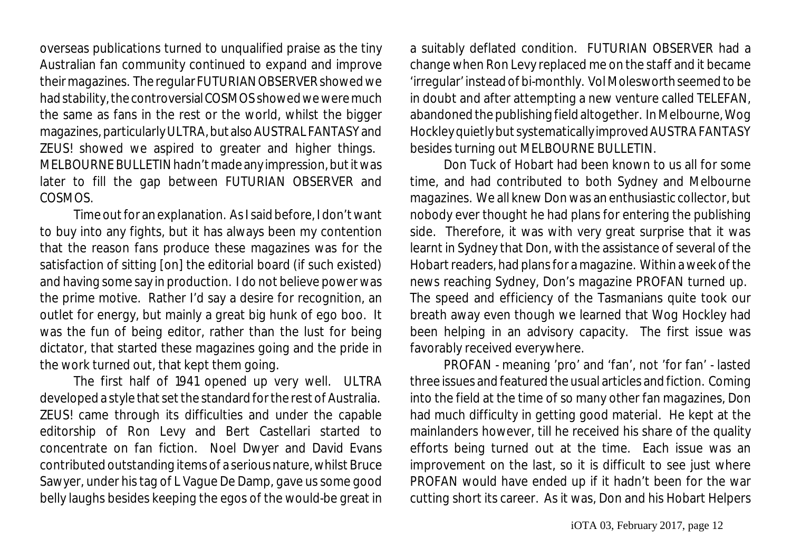overseas publications turned to unqualified praise as the tiny Australian fan community continued to expand and improve their magazines. The regular FUTURIAN OBSERVERshowed we had stability, the controversial COSMOS showed wewere much the same as fans in the rest or the world, whilst the bigger magazines, particularly ULTRA, but also AUSTRAL FANTASY and ZEUS! showed we aspired to greater and higher things. MELBOURNE BULLETIN hadn't made any impression, butit was later to fill the gap between FUTURIAN OBSERVER and COSMOS.

Time out for an explanation. As I said before, I don't want to buy into any fights, but it has always been my contention that the reason fans produce these magazines was for the satisfaction of sitting [on] the editorial board (if such existed) and having some say in production. I do not believe power was the prime motive. Rather I'd say a desire for recognition, an outlet for energy, but mainly a great big hunk of ego boo. It was the fun of being editor, rather than the lust for being dictator, that started these magazines going and the pride in the work turned out, that kept them going.

The first half of 1941 opened up very well. ULTRA developed a style that set the standard for the rest of Australia. ZEUS! came through its difficulties and under the capable editorship of Ron Levy and Bert Castellari started to concentrate on fan fiction. Noel Dwyer and David Evans contributed outstanding items of a serious nature, whilst Bruce Sawyer, under his tag of L Vague De Damp, gave us some good belly laughs besides keeping the egos of the would-be great in a suitably deflated condition. FUTURIAN OBSERVER had a change when Ron Levy replaced me on the staff and it became 'irregular' instead of bi-monthly. Vol Molesworth seemed to be in doubt and after attempting a new venture called TELEFAN, abandoned the publishing field altogether. In Melbourne, Wog Hockley quietly but systematicallyimproved AUSTRA FANTASY besides turning out MELBOURNE BULLETIN.

Don Tuck of Hobart had been known to us all for some time, and had contributed to both Sydney and Melbourne magazines. We all knew Don was an enthusiastic collector, but nobody ever thought he had plans for entering the publishing side. Therefore, it was with very great surprise that it was learnt in Sydney that Don, with the assistance of several of the Hobart readers, had plans for a magazine. Within a week of the news reaching Sydney, Don's magazine PROFAN turned up. The speed and efficiency of the Tasmanians quite took our breath away even though we learned that Wog Hockley had been helping in an advisory capacity. The first issue was favorably received everywhere.

PROFAN - meaning 'pro' and 'fan', not 'for fan' - lasted three issues and featured the usual articles and fiction. Coming into the field at the time of so many other fan magazines, Don had much difficulty in getting good material. He kept at the mainlanders however, till he received his share of the quality efforts being turned out at the time. Each issue was an improvement on the last, so it is difficult to see just where PROFAN would have ended up if it hadn't been for the war cutting short its career. As it was, Don and his Hobart Helpers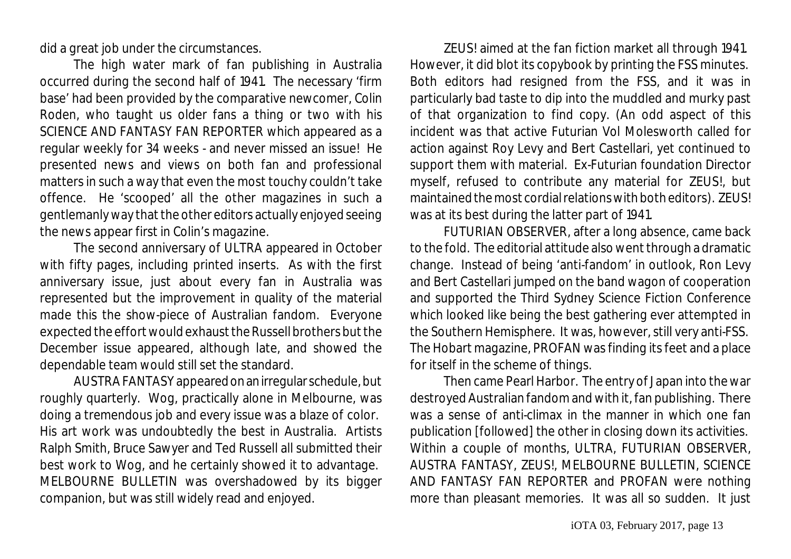did a great job under the circumstances.

The high water mark of fan publishing in Australia occurred during the second half of 1941. The necessary 'firm base' had been provided by the comparative newcomer, Colin Roden, who taught us older fans a thing or two with his SCIENCE AND FANTASY FAN REPORTER which appeared as a regular weekly for 34 weeks - and never missed an issue! He presented news and views on both fan and professional matters in such a way that even the most touchy couldn't take offence. He 'scooped' all the other magazines in such a gentlemanly way that the other editors actually enjoyed seeing the news appear first in Colin's magazine.

The second anniversary of ULTRA appeared in October with fifty pages, including printed inserts. As with the first anniversary issue, just about every fan in Australia was represented but the improvement in quality of the material made this the show-piece of Australian fandom. Everyone expected the effort would exhaust the Russell brothers but the December issue appeared, although late, and showed the dependable team would still set the standard.

AUSTRA FANTASY appearedonanirregular schedule, but roughly quarterly. Wog, practically alone in Melbourne, was doing a tremendous job and every issue was a blaze of color. His art work was undoubtedly the best in Australia. Artists Ralph Smith, Bruce Sawyer and Ted Russell all submitted their best work to Wog, and he certainly showed it to advantage. MELBOURNE BULLETIN was overshadowed by its bigger companion, but was still widely read and enjoyed.

ZEUS! aimed at the fan fiction market all through 1941. However, it did blot its copybook by printing the FSS minutes. Both editors had resigned from the FSS, and it was in particularly bad taste to dip into the muddled and murky past of that organization to find copy. (An odd aspect of this incident was that active Futurian Vol Molesworth called for action against Roy Levy and Bert Castellari, yet continued to support them with material. Ex-Futurian foundation Director myself, refused to contribute any material for ZEUS!, but maintained the most cordial relations with both editors). ZEUS! was at its best during the latter part of 1941.

FUTURIAN OBSERVER, after a long absence, came back to the fold. The editorial attitude also went through a dramatic change. Instead of being 'anti-fandom' in outlook, Ron Levy and Bert Castellari jumped on the band wagon of cooperation and supported the Third Sydney Science Fiction Conference which looked like being the best gathering ever attempted in the Southern Hemisphere. It was, however, still very anti-FSS. The Hobart magazine, PROFAN was finding its feet and a place for itself in the scheme of things.

Then came Pearl Harbor. The entry of Japan into the war destroyed Australian fandom and with it, fan publishing. There was a sense of anti-climax in the manner in which one fan publication [followed] the other in closing down its activities. Within a couple of months, ULTRA, FUTURIAN OBSERVER, AUSTRA FANTASY, ZEUS!, MELBOURNE BULLETIN, SCIENCE AND FANTASY FAN REPORTER and PROFAN were nothing more than pleasant memories. It was all so sudden. It just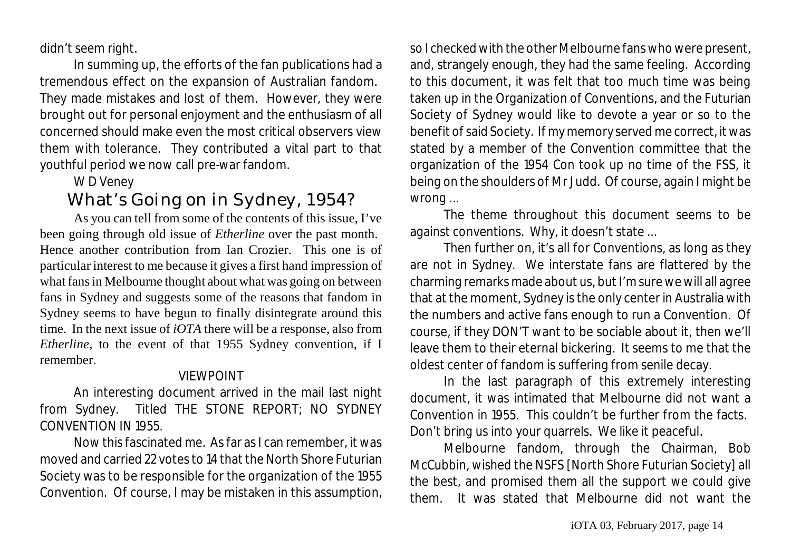didn't seem right.

In summing up, the efforts of the fan publications had a tremendous effect on the expansion of Australian fandom. They made mistakes and lost of them. However, they were brought out for personal enjoyment and the enthusiasm of all concerned should make even the most critical observers view them with tolerance. They contributed a vital part to that youthful period we now call pre-war fandom.

W D Veney

#### What's Going on in Sydney, 1954?

As you can tell from some of the contents of this issue, I've been going through old issue of *Etherline* over the past month. Hence another contribution from Ian Crozier. This one is of particular interest to me because it gives a first hand impression of what fans in Melbourne thought about what was going on between fans in Sydney and suggests some of the reasons that fandom in Sydney seems to have begun to finally disintegrate around this time. In the next issue of *iOTA* there will be a response, also from *Etherline*, to the event of that 1955 Sydney convention, if I remember.

#### VIEWPOINT

An interesting document arrived in the mail last night from Sydney. Titled THE STONE REPORT; NO SYDNEY CONVENTION IN 1955.

Now this fascinated me. As far as I can remember, it was moved and carried 22 votes to 14 that the North Shore Futurian Society was to be responsible for the organization of the 1955 Convention. Of course, I may be mistaken in this assumption, so I checked with the other Melbourne fans who were present, and, strangely enough, they had the same feeling. According to this document, it was felt that too much time was being taken up in the Organization of Conventions, and the Futurian Society of Sydney would like to devote a year or so to the benefit of said Society. If my memory served me correct, it was stated by a member of the Convention committee that the organization of the 1954 Con took up no time of the FSS, it being on the shoulders of Mr Judd. Of course, again I might be wrong ...

The theme throughout this document seems to be against conventions. Why, it doesn't state ...

Then further on, it's all for Conventions, as long as they are not in Sydney. We interstate fans are flattered by the charming remarks made about us, butI'm sure we will all agree that at the moment, Sydney is the only center in Australia with the numbers and active fans enough to run a Convention. Of course, if they DON'T want to be sociable about it, then we'll leave them to their eternal bickering. It seems to me that the oldest center of fandom is suffering from senile decay.

In the last paragraph of this extremely interesting document, it was intimated that Melbourne did not want a Convention in 1955. This couldn't be further from the facts. Don't bring us into your quarrels. We like it peaceful.

Melbourne fandom, through the Chairman, Bob McCubbin, wished the NSFS [North Shore Futurian Society] all the best, and promised them all the support we could give them. It was stated that Melbourne did not want the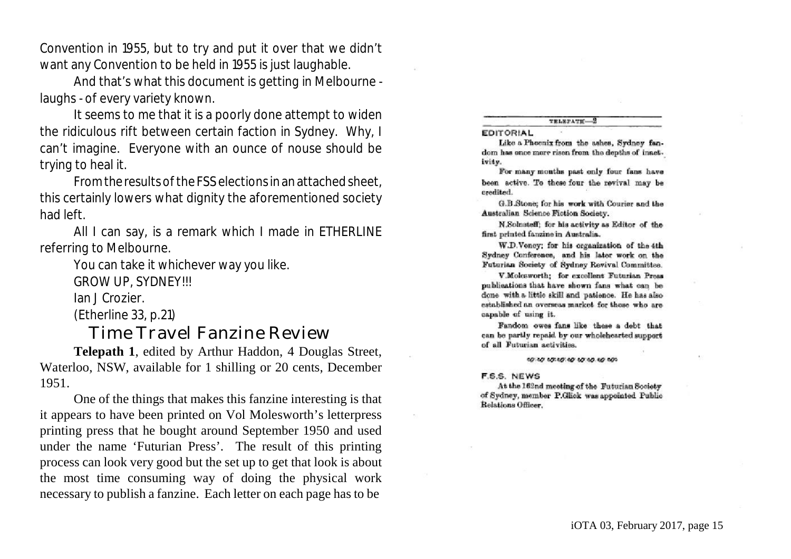Convention in 1955, but to try and put it over that we didn't want any Convention to be held in 1955 is just laughable.

And that's what this document is getting in Melbourne laughs - of every variety known.

It seems to me that it is a poorly done attempt to widen the ridiculous rift between certain faction in Sydney. Why, I can't imagine. Everyone with an ounce of nouse should be trying to heal it.

From the results of the FSS elections in an attached sheet, this certainly lowers what dignity the aforementioned society had left.

All I can say, is a remark which I made in ETHERLINE referring to Melbourne.

You can take it whichever way you like.

GROW UP, SYDNEY!!!

Ian J Crozier.

(Etherline 33, p.21)

#### Time Travel Fanzine Review

**Telepath 1**, edited by Arthur Haddon, 4 Douglas Street, Waterloo, NSW, available for 1 shilling or 20 cents, December 1951.

One of the things that makes this fanzine interesting is that it appears to have been printed on Vol Molesworth's letterpress printing press that he bought around September 1950 and used under the name 'Futurian Press'. The result of this printing process can look very good but the set up to get that look is about the most time consuming way of doing the physical work necessary to publish a fanzine. Each letter on each page has to be

#### **EDITORIAL**

Like a Phoenix from the ashes. Sydney fandom has once more risen from the depths of inactivity.

TELEPATE-5

For many months past only four fans have been active. To these four the revival may be conditad.

G.B.Stone; for his work with Courier and the Australian Science Fiction Society.

N.Solnateff; for his activity as Editor of the first printed fanzine in Australia.

W.D.Veney; for his organization of the 4th Sydney Conference, and his later work on the Futurian Society of Sydney Revival Committee.

V.Molesworth; for excellent Futurian Press publications that have shown fans what can be done with a little skill and patience. He has also established an overseas market for those who are capable of using it.

Fandom owes fans like these a debt that can be partly repaid by our wholehearted support of all Futurian activities.

10:10:10:10:10:10:10:10

#### F.S.S. NEWS

At the 162nd meeting of the Futurian Society of Sydney, member P.Glick was appointed Public Relations Officer.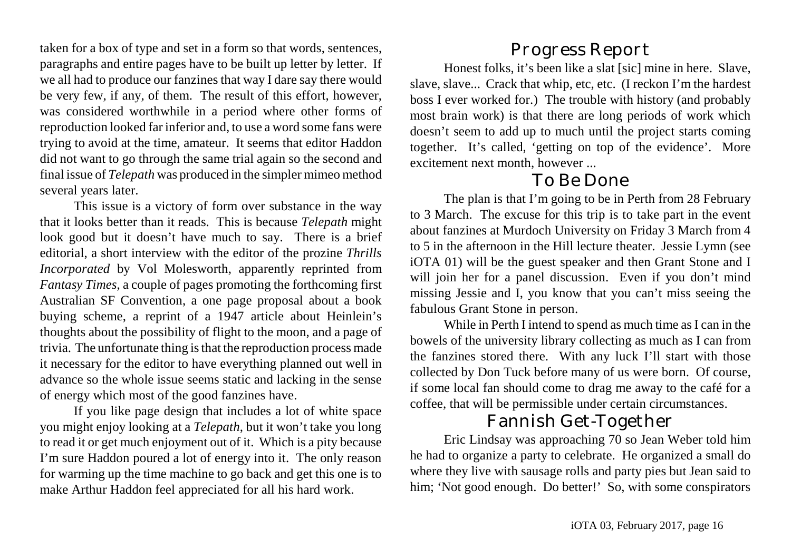taken for a box of type and set in a form so that words, sentences, paragraphs and entire pages have to be built up letter by letter. If we all had to produce our fanzines that way I dare say there would be very few, if any, of them. The result of this effort, however, was considered worthwhile in a period where other forms of reproduction looked far inferior and, to use a word some fans were trying to avoid at the time, amateur. It seems that editor Haddon did not want to go through the same trial again so the second and final issue of *Telepath* was produced in the simpler mimeo method several years later.

This issue is a victory of form over substance in the way that it looks better than it reads. This is because *Telepath* might look good but it doesn't have much to say. There is a brief editorial, a short interview with the editor of the prozine *Thrills Incorporated* by Vol Molesworth, apparently reprinted from *Fantasy Times*, a couple of pages promoting the forthcoming first Australian SF Convention, a one page proposal about a book buying scheme, a reprint of a 1947 article about Heinlein's thoughts about the possibility of flight to the moon, and a page of trivia. The unfortunate thing isthat the reproduction process made it necessary for the editor to have everything planned out well in advance so the whole issue seems static and lacking in the sense of energy which most of the good fanzines have.

If you like page design that includes a lot of white space you might enjoy looking at a *Telepath*, but it won't take you long to read it or get much enjoyment out of it. Which is a pity because I'm sure Haddon poured a lot of energy into it. The only reason for warming up the time machine to go back and get this one is to make Arthur Haddon feel appreciated for all his hard work.

## Progress Report

Honest folks, it's been like a slat [sic] mine in here. Slave, slave, slave... Crack that whip, etc, etc. (I reckon I'm the hardest boss I ever worked for.) The trouble with history (and probably most brain work) is that there are long periods of work which doesn't seem to add up to much until the project starts coming together. It's called, 'getting on top of the evidence'. More excitement next month, however ...

### To Be Done

The plan is that I'm going to be in Perth from 28 February to 3 March. The excuse for this trip is to take part in the event about fanzines at Murdoch University on Friday 3 March from 4 to 5 in the afternoon in the Hill lecture theater. Jessie Lymn (see iOTA 01) will be the guest speaker and then Grant Stone and I will join her for a panel discussion. Even if you don't mind missing Jessie and I, you know that you can't miss seeing the fabulous Grant Stone in person.

While in Perth I intend to spend as much time as I can in the bowels of the university library collecting as much as I can from the fanzines stored there. With any luck I'll start with those collected by Don Tuck before many of us were born. Of course, if some local fan should come to drag me away to the café for a coffee, that will be permissible under certain circumstances.

## Fannish Get-Together

Eric Lindsay was approaching 70 so Jean Weber told him he had to organize a party to celebrate. He organized a small do where they live with sausage rolls and party pies but Jean said to him; 'Not good enough. Do better!' So, with some conspirators